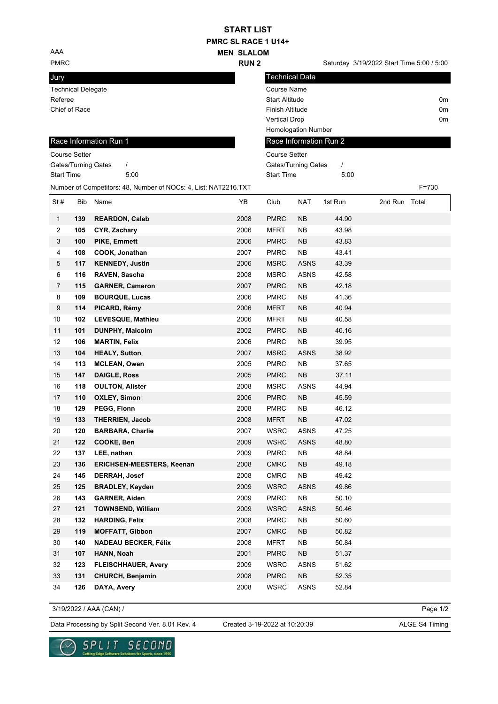## **PMRC SL RACE 1 U14+ MEN SLALOM START LIST**

**RUN 2**

Technical Data

AAA

PMRC **EXECUTE:** PMRC **SATURE SET A SATURE SET A SATURE SET A SATURE SET A SATURE SET A SATURE SET A SATURE SET A SATURE SET A SATURE SET A SATURE SET A SATURE SET A SATURE SET A SATURE SET A SATURE SET A SATURE SET A SATUR** 

## Jury

|                   | <b>Technical Delegate</b> |                                                                 |      | Course Name                     |                        |         |               |                |    |  |
|-------------------|---------------------------|-----------------------------------------------------------------|------|---------------------------------|------------------------|---------|---------------|----------------|----|--|
| Referee           |                           |                                                                 |      | <b>Start Altitude</b>           |                        |         |               | 0m             |    |  |
|                   | Chief of Race             |                                                                 |      | <b>Finish Altitude</b>          |                        |         |               |                | 0m |  |
|                   |                           |                                                                 |      | <b>Vertical Drop</b>            |                        |         |               | 0 <sub>m</sub> |    |  |
|                   |                           |                                                                 |      |                                 | Homologation Number    |         |               |                |    |  |
|                   |                           | Race Information Run 1                                          |      |                                 | Race Information Run 2 |         |               |                |    |  |
|                   | <b>Course Setter</b>      |                                                                 |      | <b>Course Setter</b>            |                        |         |               |                |    |  |
|                   |                           | Gates/Turning Gates<br>$\prime$                                 |      | Gates/Turning Gates<br>$\prime$ |                        |         |               |                |    |  |
| <b>Start Time</b> |                           | 5:00                                                            |      | <b>Start Time</b>               |                        | 5:00    |               |                |    |  |
|                   |                           | Number of Competitors: 48, Number of NOCs: 4, List: NAT2216.TXT |      |                                 |                        |         |               | F=730          |    |  |
| St#               | Bib                       | Name                                                            | YB   | Club                            | <b>NAT</b>             | 1st Run | 2nd Run Total |                |    |  |
| $\mathbf{1}$      | 139                       | <b>REARDON, Caleb</b>                                           | 2008 | <b>PMRC</b>                     | <b>NB</b>              | 44.90   |               |                |    |  |
| 2                 | 105                       | CYR, Zachary                                                    | 2006 | MFRT                            | NΒ                     | 43.98   |               |                |    |  |
| 3                 | 100                       | <b>PIKE, Emmett</b>                                             | 2006 | <b>PMRC</b>                     | <b>NB</b>              | 43.83   |               |                |    |  |
| 4                 | 108                       | COOK, Jonathan                                                  | 2007 | <b>PMRC</b>                     | <b>NB</b>              | 43.41   |               |                |    |  |
| 5                 | 117                       | <b>KENNEDY, Justin</b>                                          | 2006 | <b>MSRC</b>                     | <b>ASNS</b>            | 43.39   |               |                |    |  |
| 6                 | 116                       | RAVEN, Sascha                                                   | 2008 | <b>MSRC</b>                     | <b>ASNS</b>            | 42.58   |               |                |    |  |
| 7                 | 115                       | <b>GARNER, Cameron</b>                                          | 2007 | <b>PMRC</b>                     | <b>NB</b>              | 42.18   |               |                |    |  |
| 8                 | 109                       | <b>BOURQUE, Lucas</b>                                           | 2006 | <b>PMRC</b>                     | <b>NB</b>              | 41.36   |               |                |    |  |
| 9                 | 114                       | PICARD, Rémy                                                    | 2006 | <b>MFRT</b>                     | <b>NB</b>              | 40.94   |               |                |    |  |
| 10                | 102                       | LEVESQUE, Mathieu                                               | 2006 | MFRT                            | <b>NB</b>              | 40.58   |               |                |    |  |
| 11                | 101                       | <b>DUNPHY, Malcolm</b>                                          | 2002 | <b>PMRC</b>                     | <b>NB</b>              | 40.16   |               |                |    |  |
| 12                | 106                       | <b>MARTIN, Felix</b>                                            | 2006 | <b>PMRC</b>                     | <b>NB</b>              | 39.95   |               |                |    |  |
| 13                | 104                       | <b>HEALY, Sutton</b>                                            | 2007 | <b>MSRC</b>                     | <b>ASNS</b>            | 38.92   |               |                |    |  |
| 14                | 113                       | <b>MCLEAN, Owen</b>                                             | 2005 | <b>PMRC</b>                     | <b>NB</b>              | 37.65   |               |                |    |  |
| 15                | 147                       | <b>DAIGLE, Ross</b>                                             | 2005 | <b>PMRC</b>                     | <b>NB</b>              | 37.11   |               |                |    |  |
| 16                | 118                       | <b>OULTON, Alister</b>                                          | 2008 | <b>MSRC</b>                     | <b>ASNS</b>            | 44.94   |               |                |    |  |
| 17                | 110                       | <b>OXLEY, Simon</b>                                             | 2006 | <b>PMRC</b>                     | <b>NB</b>              | 45.59   |               |                |    |  |
| 18                | 129                       | PEGG, Fionn                                                     | 2008 | <b>PMRC</b>                     | <b>NB</b>              | 46.12   |               |                |    |  |
| 19                | 133                       | <b>THERRIEN, Jacob</b>                                          | 2008 | <b>MFRT</b>                     | <b>NB</b>              | 47.02   |               |                |    |  |
| 20                | 120                       | <b>BARBARA, Charlie</b>                                         | 2007 | <b>WSRC</b>                     | <b>ASNS</b>            | 47.25   |               |                |    |  |
| 21                | 122                       | COOKE, Ben                                                      | 2009 | <b>WSRC</b>                     | <b>ASNS</b>            | 48.80   |               |                |    |  |
| 22                | 137                       | LEE, nathan                                                     | 2009 | <b>PMRC</b>                     | NΒ                     | 48.84   |               |                |    |  |
| 23                | 136                       | <b>ERICHSEN-MEESTERS, Keenan</b>                                | 2008 | <b>CMRC</b>                     | <b>NB</b>              | 49.18   |               |                |    |  |
| 24                | 145                       | <b>DERRAH, Josef</b>                                            | 2008 | <b>CMRC</b>                     | <b>NB</b>              | 49.42   |               |                |    |  |
| 25                | 125                       | <b>BRADLEY, Kayden</b>                                          | 2009 | <b>WSRC</b>                     | <b>ASNS</b>            | 49.86   |               |                |    |  |
| 26                | 143                       | <b>GARNER, Aiden</b>                                            | 2009 | <b>PMRC</b>                     | <b>NB</b>              | 50.10   |               |                |    |  |
| 27                | 121                       | <b>TOWNSEND, William</b>                                        | 2009 | <b>WSRC</b>                     | ASNS                   | 50.46   |               |                |    |  |
| 28                | 132                       | <b>HARDING, Felix</b>                                           | 2008 | <b>PMRC</b>                     | <b>NB</b>              | 50.60   |               |                |    |  |
| 29                | 119                       | <b>MOFFATT, Gibbon</b>                                          | 2007 | <b>CMRC</b>                     | <b>NB</b>              | 50.82   |               |                |    |  |
| 30                | 140                       | <b>NADEAU BECKER, Félix</b>                                     | 2008 | <b>MFRT</b>                     | <b>NB</b>              | 50.84   |               |                |    |  |
| 31                | 107                       | HANN, Noah                                                      | 2001 | <b>PMRC</b>                     | <b>NB</b>              | 51.37   |               |                |    |  |
| 32                | 123                       | <b>FLEISCHHAUER, Avery</b>                                      | 2009 | <b>WSRC</b>                     | <b>ASNS</b>            | 51.62   |               |                |    |  |
| 33                | 131                       | <b>CHURCH, Benjamin</b>                                         | 2008 | <b>PMRC</b>                     | NB                     | 52.35   |               |                |    |  |
| 34                | 126                       | DAYA, Avery                                                     | 2008 | <b>WSRC</b>                     | ASNS                   | 52.84   |               |                |    |  |

3/19/2022 / AAA (CAN) /

Page 1/2

Data Processing by Split Second Ver. 8.01 Rev. 4 Created 3-19-2022 at 10:20:39 ALGE S4 Timing

Created 3-19-2022 at 10:20:39